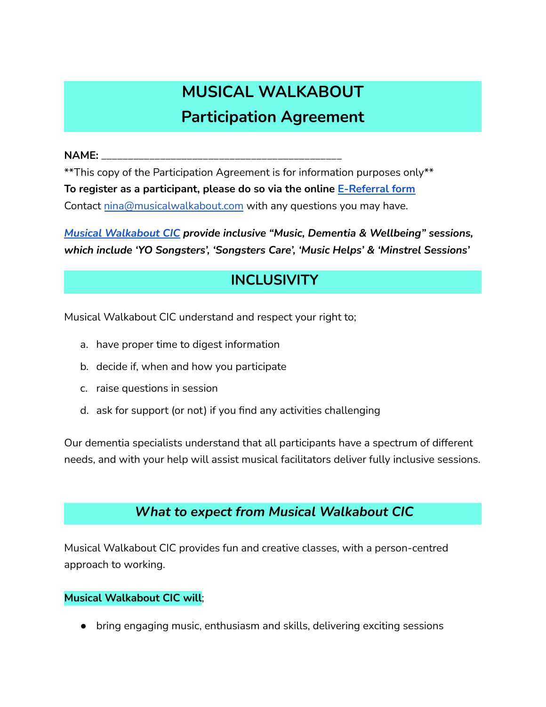# **MUSICAL WALKABOUT Participation Agreement**

**NAME:** \_\_\_\_\_\_\_\_\_\_\_\_\_\_\_\_\_\_\_\_\_\_\_\_\_\_\_\_\_\_\_\_\_\_\_\_\_\_\_\_\_\_\_\_\_

\*\*This copy of the Participation Agreement is for information purposes only\*\* **To register as a participant, please do so via the online [E-Referral](https://www.musicalwalkabout.com/participation) form** Contact [nina@musicalwalkabout.com](mailto:info@musicalwalkabout.com) with any questions you may have.

*Musical [Walkabout](https://www.musicalwalkabout.com/) CIC provide inclusive "Music, Dementia & Wellbeing" sessions, which include 'YO Songsters', 'Songsters Care', 'Music Helps' & 'Minstrel Sessions'*

## **INCLUSIVITY**

Musical Walkabout CIC understand and respect your right to;

- a. have proper time to digest information
- b. decide if, when and how you participate
- c. raise questions in session
- d. ask for support (or not) if you find any activities challenging

Our dementia specialists understand that all participants have a spectrum of different needs, and with your help will assist musical facilitators deliver fully inclusive sessions.

## *What to expect from Musical Walkabout CIC*

Musical Walkabout CIC provides fun and creative classes, with a person-centred approach to working.

## **Musical Walkabout CIC will**;

• bring engaging music, enthusiasm and skills, delivering exciting sessions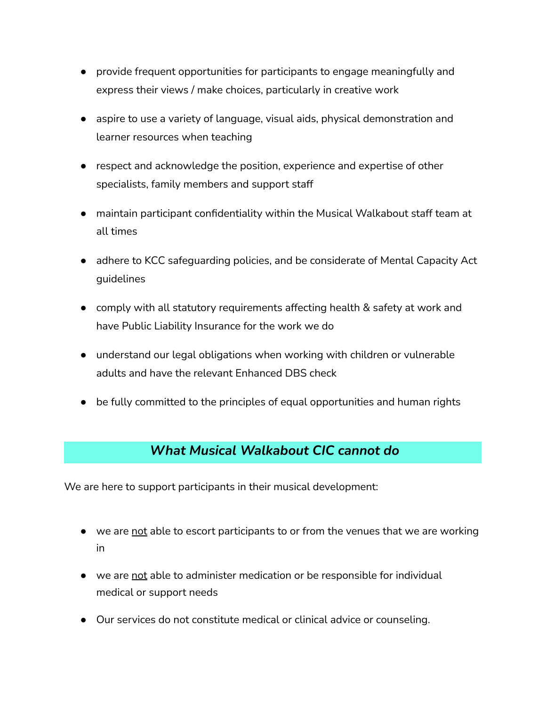- provide frequent opportunities for participants to engage meaningfully and express their views / make choices, particularly in creative work
- aspire to use a variety of language, visual aids, physical demonstration and learner resources when teaching
- respect and acknowledge the position, experience and expertise of other specialists, family members and support staff
- maintain participant confidentiality within the Musical Walkabout staff team at all times
- adhere to KCC safeguarding policies, and be considerate of Mental Capacity Act guidelines
- comply with all statutory requirements affecting health & safety at work and have Public Liability Insurance for the work we do
- understand our legal obligations when working with children or vulnerable adults and have the relevant Enhanced DBS check
- be fully committed to the principles of equal opportunities and human rights

## *What Musical Walkabout CIC cannot do*

We are here to support participants in their musical development:

- we are not able to escort participants to or from the venues that we are working in
- we are not able to administer medication or be responsible for individual medical or support needs
- Our services do not constitute medical or clinical advice or counseling.